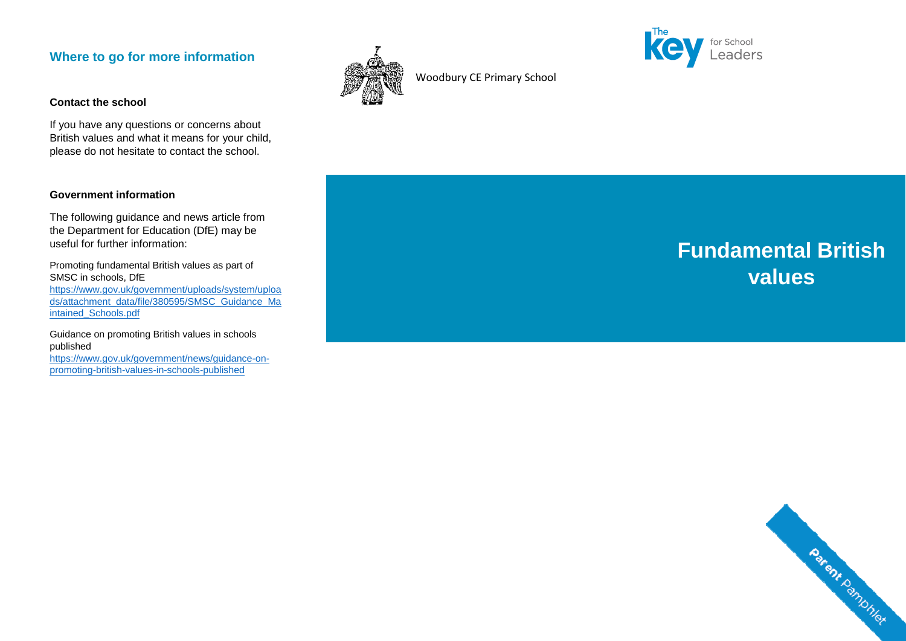# **Where to go for more information**

#### **Contact the school**

If you have any questions or concerns about British values and what it means for your child, please do not hesitate to contact the school.

## **Government information**

The following guidance and news article from the Department for Education (DfE) may be useful for further information:

Promoting fundamental British values as part of SMSC in schools, DfE https://www.gov.uk/government/uploads/system/uploa ds/attachment\_data/file/380595/SMSC\_Guidance\_Maintained\_Schools.pdf

Guidance on promoting British values in schools published https://www.gov.uk/government/news/guidance-on-

promoting-british-values-in-schools-published



Woodbury CE Primary School



# **Fundamental British values**

Parent Pamphler